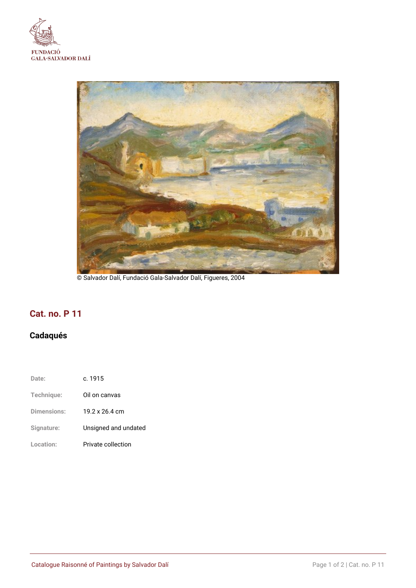



© Salvador Dalí, Fundació Gala-Salvador Dalí, Figueres, 2004

## **Cat. no. P 11**

# **Cadaqués**

| Date:       | c. 1915              |
|-------------|----------------------|
| Technique:  | Oil on canvas        |
| Dimensions: | 19.2 x 26.4 cm       |
| Signature:  | Unsigned and undated |
| Location:   | Private collection   |